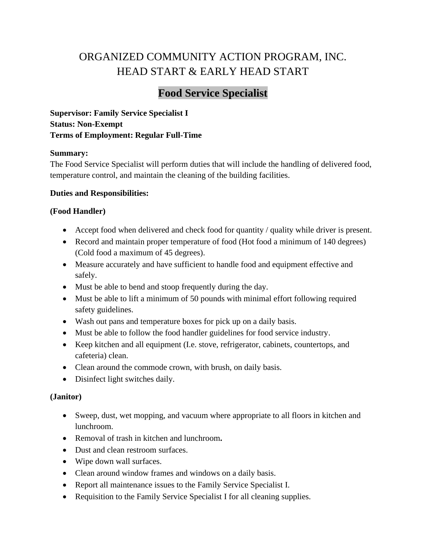# ORGANIZED COMMUNITY ACTION PROGRAM, INC. HEAD START & EARLY HEAD START

# **Food Service Specialist**

**Supervisor: Family Service Specialist I Status: Non-Exempt Terms of Employment: Regular Full-Time**

# **Summary:**

The Food Service Specialist will perform duties that will include the handling of delivered food, temperature control, and maintain the cleaning of the building facilities.

# **Duties and Responsibilities:**

# **(Food Handler)**

- Accept food when delivered and check food for quantity / quality while driver is present.
- Record and maintain proper temperature of food (Hot food a minimum of 140 degrees) (Cold food a maximum of 45 degrees).
- Measure accurately and have sufficient to handle food and equipment effective and safely.
- Must be able to bend and stoop frequently during the day.
- Must be able to lift a minimum of 50 pounds with minimal effort following required safety guidelines.
- Wash out pans and temperature boxes for pick up on a daily basis.
- Must be able to follow the food handler guidelines for food service industry.
- Keep kitchen and all equipment (I.e. stove, refrigerator, cabinets, countertops, and cafeteria) clean.
- Clean around the commode crown, with brush, on daily basis.
- Disinfect light switches daily.

#### **(Janitor)**

- Sweep, dust, wet mopping, and vacuum where appropriate to all floors in kitchen and lunchroom.
- Removal of trash in kitchen and lunchroom**.**
- Dust and clean restroom surfaces.
- Wipe down wall surfaces.
- Clean around window frames and windows on a daily basis.
- Report all maintenance issues to the Family Service Specialist I.
- Requisition to the Family Service Specialist I for all cleaning supplies.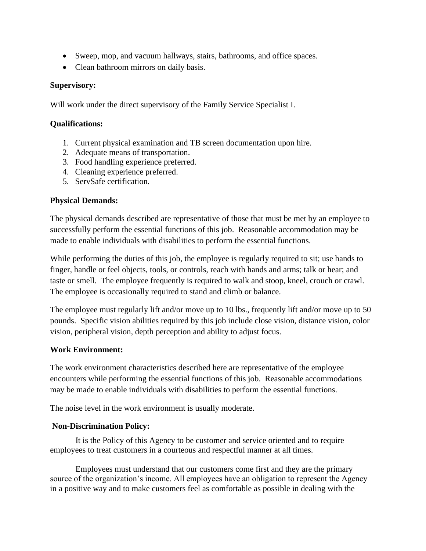- Sweep, mop, and vacuum hallways, stairs, bathrooms, and office spaces.
- Clean bathroom mirrors on daily basis.

#### **Supervisory:**

Will work under the direct supervisory of the Family Service Specialist I.

#### **Qualifications:**

- 1. Current physical examination and TB screen documentation upon hire.
- 2. Adequate means of transportation.
- 3. Food handling experience preferred.
- 4. Cleaning experience preferred.
- 5. ServSafe certification.

#### **Physical Demands:**

The physical demands described are representative of those that must be met by an employee to successfully perform the essential functions of this job. Reasonable accommodation may be made to enable individuals with disabilities to perform the essential functions.

While performing the duties of this job, the employee is regularly required to sit; use hands to finger, handle or feel objects, tools, or controls, reach with hands and arms; talk or hear; and taste or smell. The employee frequently is required to walk and stoop, kneel, crouch or crawl. The employee is occasionally required to stand and climb or balance.

The employee must regularly lift and/or move up to 10 lbs., frequently lift and/or move up to 50 pounds. Specific vision abilities required by this job include close vision, distance vision, color vision, peripheral vision, depth perception and ability to adjust focus.

#### **Work Environment:**

The work environment characteristics described here are representative of the employee encounters while performing the essential functions of this job. Reasonable accommodations may be made to enable individuals with disabilities to perform the essential functions.

The noise level in the work environment is usually moderate.

#### **Non-Discrimination Policy:**

It is the Policy of this Agency to be customer and service oriented and to require employees to treat customers in a courteous and respectful manner at all times.

Employees must understand that our customers come first and they are the primary source of the organization's income. All employees have an obligation to represent the Agency in a positive way and to make customers feel as comfortable as possible in dealing with the